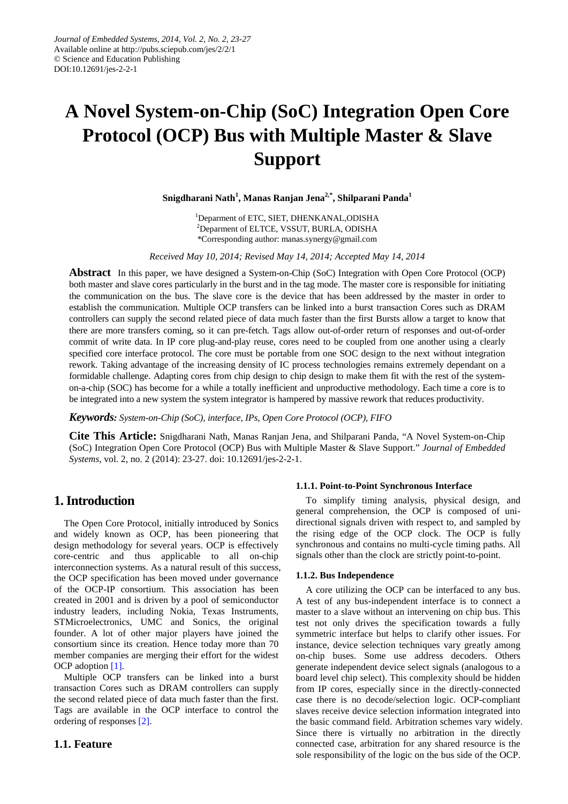# **A Novel System-on-Chip (SoC) Integration Open Core Protocol (OCP) Bus with Multiple Master & Slave Support**

**Snigdharani Nath1 , Manas Ranjan Jena2,\*, Shilparani Panda1**

<sup>1</sup>Deparment of ETC, SIET, DHENKANAL, ODISHA 2 Deparment of ELTCE, VSSUT, BURLA, ODISHA \*Corresponding author: manas.synergy@gmail.com

*Received May 10, 2014; Revised May 14, 2014; Accepted May 14, 2014*

**Abstract** In this paper, we have designed a System-on-Chip (SoC) Integration with Open Core Protocol (OCP) both master and slave cores particularly in the burst and in the tag mode. The master core is responsible for initiating the communication on the bus. The slave core is the device that has been addressed by the master in order to establish the communication. Multiple OCP transfers can be linked into a burst transaction Cores such as DRAM controllers can supply the second related piece of data much faster than the first Bursts allow a target to know that there are more transfers coming, so it can pre-fetch. Tags allow out-of-order return of responses and out-of-order commit of write data. In IP core plug-and-play reuse, cores need to be coupled from one another using a clearly specified core interface protocol. The core must be portable from one SOC design to the next without integration rework. Taking advantage of the increasing density of IC process technologies remains extremely dependant on a formidable challenge. Adapting cores from chip design to chip design to make them fit with the rest of the systemon-a-chip (SOC) has become for a while a totally inefficient and unproductive methodology. Each time a core is to be integrated into a new system the system integrator is hampered by massive rework that reduces productivity.

*Keywords: System-on-Chip (SoC), interface, IPs, Open Core Protocol (OCP), FIFO*

**Cite This Article:** Snigdharani Nath, Manas Ranjan Jena, and Shilparani Panda, "A Novel System-on-Chip (SoC) Integration Open Core Protocol (OCP) Bus with Multiple Master & Slave Support." *Journal of Embedded Systems*, vol. 2, no. 2 (2014): 23-27. doi: 10.12691/jes-2-2-1.

# **1. Introduction**

The Open Core Protocol, initially introduced by Sonics and widely known as OCP, has been pioneering that design methodology for several years. OCP is effectively core-centric and thus applicable to all on-chip interconnection systems. As a natural result of this success, the OCP specification has been moved under governance of the OCP-IP consortium. This association has been created in 2001 and is driven by a pool of semiconductor industry leaders, including Nokia, Texas Instruments, STMicroelectronics, UMC and Sonics, the original founder. A lot of other major players have joined the consortium since its creation. Hence today more than 70 member companies are merging their effort for the widest OCP adoption [\[1\].](#page-4-0)

Multiple OCP transfers can be linked into a burst transaction Cores such as DRAM controllers can supply the second related piece of data much faster than the first. Tags are available in the OCP interface to control the ordering of responses [\[2\].](#page-4-1)

## **1.1. Feature**

#### **1.1.1. Point-to-Point Synchronous Interface**

To simplify timing analysis, physical design, and general comprehension, the OCP is composed of unidirectional signals driven with respect to, and sampled by the rising edge of the OCP clock. The OCP is fully synchronous and contains no multi-cycle timing paths. All signals other than the clock are strictly point-to-point.

#### **1.1.2. Bus Independence**

A core utilizing the OCP can be interfaced to any bus. A test of any bus-independent interface is to connect a master to a slave without an intervening on chip bus. This test not only drives the specification towards a fully symmetric interface but helps to clarify other issues. For instance, device selection techniques vary greatly among on-chip buses. Some use address decoders. Others generate independent device select signals (analogous to a board level chip select). This complexity should be hidden from IP cores, especially since in the directly-connected case there is no decode/selection logic. OCP-compliant slaves receive device selection information integrated into the basic command field. Arbitration schemes vary widely. Since there is virtually no arbitration in the directly connected case, arbitration for any shared resource is the sole responsibility of the logic on the bus side of the OCP.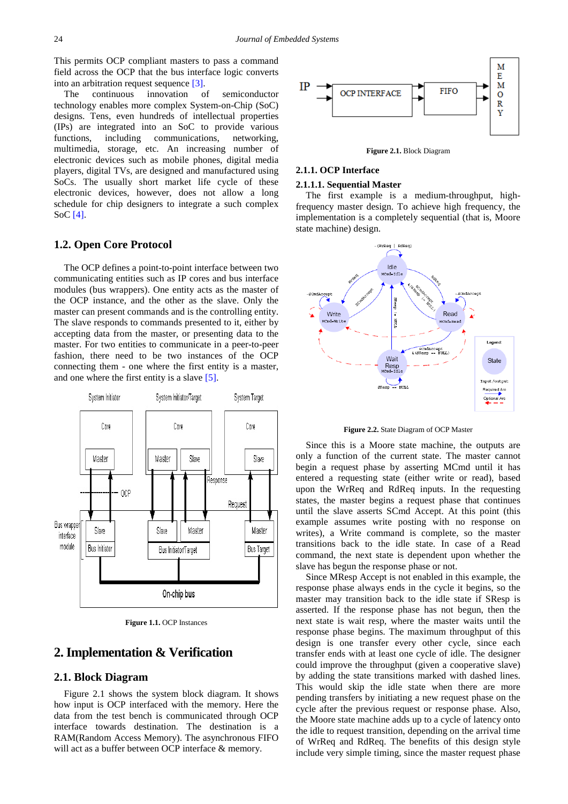This permits OCP compliant masters to pass a command field across the OCP that the bus interface logic converts into an arbitration request sequence [\[3\].](#page-4-2)

The continuous innovation of semiconductor technology enables more complex System-on-Chip (SoC) designs. Tens, even hundreds of intellectual properties (IPs) are integrated into an SoC to provide various functions, including communications, networking, multimedia, storage, etc. An increasing number of electronic devices such as mobile phones, digital media players, digital TVs, are designed and manufactured using SoCs. The usually short market life cycle of these electronic devices, however, does not allow a long schedule for chip designers to integrate a such complex SoC [\[4\].](#page-4-3)

## **1.2. Open Core Protocol**

The OCP defines a point-to-point interface between two communicating entities such as IP cores and bus interface modules (bus wrappers). One entity acts as the master of the OCP instance, and the other as the slave. Only the master can present commands and is the controlling entity. The slave responds to commands presented to it, either by accepting data from the master, or presenting data to the master. For two entities to communicate in a peer-to-peer fashion, there need to be two instances of the OCP connecting them - one where the first entity is a master, and one where the first entity is a slave [\[5\].](#page-4-4)



**Figure 1.1.** OCP Instances

## **2.Implementation & Verification**

### **2.1. Block Diagram**

Figure 2.1 shows the system block diagram. It shows how input is OCP interfaced with the memory. Here the data from the test bench is communicated through OCP interface towards destination. The destination is a RAM(Random Access Memory). The asynchronous FIFO will act as a buffer between OCP interface & memory.



**Figure 2.1.** Block Diagram

## **2.1.1. OCP Interface**

#### **2.1.1.1. Sequential Master**

The first example is a medium-throughput, highfrequency master design. To achieve high frequency, the implementation is a completely sequential (that is, Moore state machine) design.



**Figure 2.2.** State Diagram of OCP Master

Since this is a Moore state machine, the outputs are only a function of the current state. The master cannot begin a request phase by asserting MCmd until it has entered a requesting state (either write or read), based upon the WrReq and RdReq inputs. In the requesting states, the master begins a request phase that continues until the slave asserts SCmd Accept. At this point (this example assumes write posting with no response on writes), a Write command is complete, so the master transitions back to the idle state. In case of a Read command, the next state is dependent upon whether the slave has begun the response phase or not.

Since MResp Accept is not enabled in this example, the response phase always ends in the cycle it begins, so the master may transition back to the idle state if SResp is asserted. If the response phase has not begun, then the next state is wait resp, where the master waits until the response phase begins. The maximum throughput of this design is one transfer every other cycle, since each transfer ends with at least one cycle of idle. The designer could improve the throughput (given a cooperative slave) by adding the state transitions marked with dashed lines. This would skip the idle state when there are more pending transfers by initiating a new request phase on the cycle after the previous request or response phase. Also, the Moore state machine adds up to a cycle of latency onto the idle to request transition, depending on the arrival time of WrReq and RdReq. The benefits of this design style include very simple timing, since the master request phase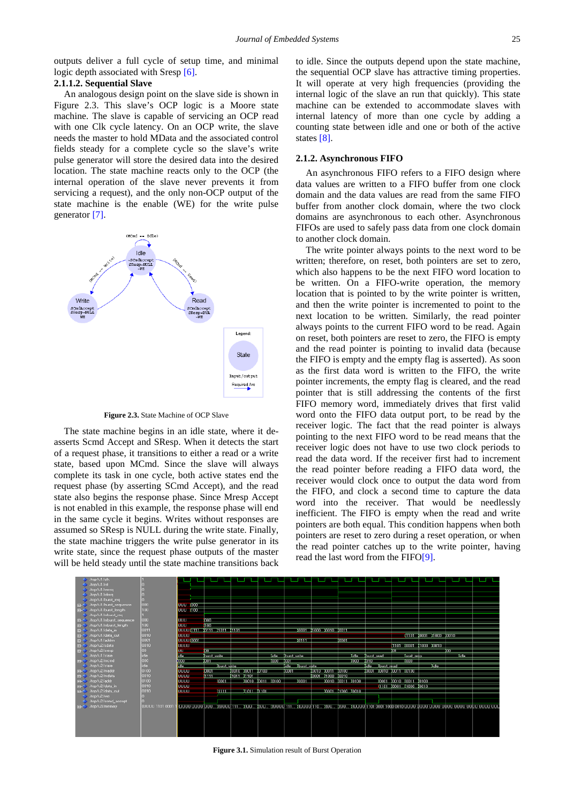outputs deliver a full cycle of setup time, and minimal logic depth associated with Sresp [\[6\].](#page-4-5)

### **2.1.1.2. Sequential Slave**

An analogous design point on the slave side is shown in Figure 2.3. This slave's OCP logic is a Moore state machine. The slave is capable of servicing an OCP read with one Clk cycle latency. On an OCP write, the slave needs the master to hold MData and the associated control fields steady for a complete cycle so the slave's write pulse generator will store the desired data into the desired location. The state machine reacts only to the OCP (the internal operation of the slave never prevents it from servicing a request), and the only non-OCP output of the state machine is the enable (WE) for the write pulse generator [\[7\].](#page-4-6)



**Figure 2.3.** State Machine of OCP Slave

The state machine begins in an idle state, where it deasserts Scmd Accept and SResp. When it detects the start of a request phase, it transitions to either a read or a write state, based upon MCmd. Since the slave will always complete its task in one cycle, both active states end the request phase (by asserting SCmd Accept), and the read state also begins the response phase. Since Mresp Accept is not enabled in this example, the response phase will end in the same cycle it begins. Writes without responses are assumed so SResp is NULL during the write state. Finally, the state machine triggers the write pulse generator in its write state, since the request phase outputs of the master will be held steady until the state machine transitions back

to idle. Since the outputs depend upon the state machine, the sequential OCP slave has attractive timing properties. It will operate at very high frequencies (providing the internal logic of the slave an run that quickly). This state machine can be extended to accommodate slaves with internal latency of more than one cycle by adding a counting state between idle and one or both of the active states [\[8\].](#page-4-7)

#### **2.1.2. Asynchronous FIFO**

An asynchronous FIFO refers to a FIFO design where data values are written to a FIFO buffer from one clock domain and the data values are read from the same FIFO buffer from another clock domain, where the two clock domains are asynchronous to each other. Asynchronous FIFOs are used to safely pass data from one clock domain to another clock domain.

The write pointer always points to the next word to be written; therefore, on reset, both pointers are set to zero, which also happens to be the next FIFO word location to be written. On a FIFO-write operation, the memory location that is pointed to by the write pointer is written, and then the write pointer is incremented to point to the next location to be written. Similarly, the read pointer always points to the current FIFO word to be read. Again on reset, both pointers are reset to zero, the FIFO is empty and the read pointer is pointing to invalid data (because the FIFO is empty and the empty flag is asserted). As soon as the first data word is written to the FIFO, the write pointer increments, the empty flag is cleared, and the read pointer that is still addressing the contents of the first FIFO memory word, immediately drives that first valid word onto the FIFO data output port, to be read by the receiver logic. The fact that the read pointer is always pointing to the next FIFO word to be read means that the receiver logic does not have to use two clock periods to read the data word. If the receiver first had to increment the read pointer before reading a FIFO data word, the receiver would clock once to output the data word from the FIFO, and clock a second time to capture the data word into the receiver. That would be needlessly inefficient. The FIFO is empty when the read and write pointers are both equal. This condition happens when both pointers are reset to zero during a reset operation, or when the read pointer catches up to the write pointer, having read the last word from the FIF[O\[9\].](#page-4-8)



**Figure 3.1.** Simulation result of Burst Operation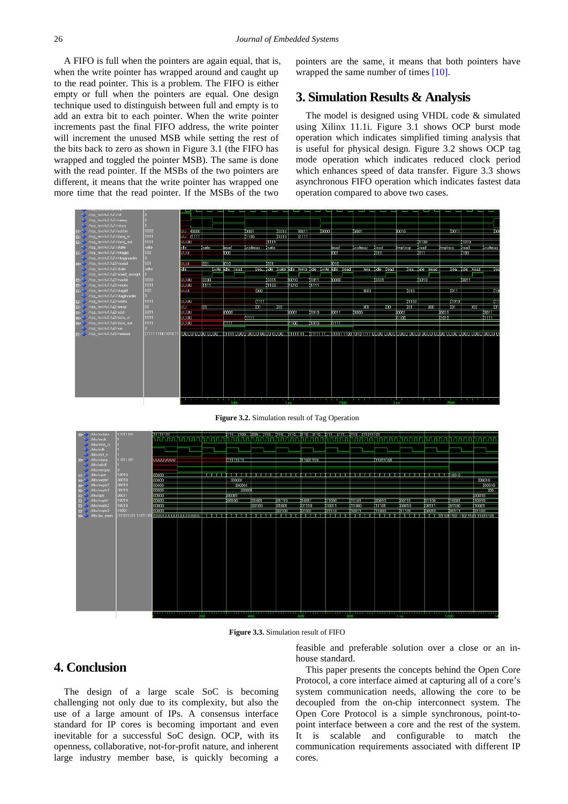A FIFO is full when the pointers are again equal, that is, when the write pointer has wrapped around and caught up to the read pointer. This is a problem. The FIFO is either empty or full when the pointers are equal. One design technique used to distinguish between full and empty is to add an extra bit to each pointer. When the write pointer increments past the final FIFO address, the write pointer will increment the unused MSB while setting the rest of the bits back to zero as shown in Figure 3.1 (the FIFO has wrapped and toggled the pointer MSB). The same is done with the read pointer. If the MSBs of the two pointers are different, it means that the write pointer has wrapped one more time that the read pointer. If the MSBs of the two

pointers are the same, it means that both pointers have wrapped the same number of times [\[10\].](#page-4-9)

## **3. Simulation Results & Analysis**

The model is designed using VHDL code & simulated using Xilinx 11.1i. Figure 3.1 shows OCP burst mode operation which indicates simplified timing analysis that is useful for physical design. Figure 3.2 shows OCP tag mode operation which indicates reduced clock period which enhances speed of data transfer. Figure 3.3 shows asynchronous FIFO operation which indicates fastest data operation compared to above two cases.



**Figure 3.2.** Simulation result of Tag Operation



**Figure 3.3.** Simulation result of FIFO

# **4. Conclusion**

The design of a large scale SoC is becoming challenging not only due to its complexity, but also the use of a large amount of IPs. A consensus interface standard for IP cores is becoming important and even inevitable for a successful SoC design. OCP, with its openness, collaborative, not-for-profit nature, and inherent large industry member base, is quickly becoming a feasible and preferable solution over a close or an inhouse standard.

This paper presents the concepts behind the Open Core Protocol, a core interface aimed at capturing all of a core's system communication needs, allowing the core to be decoupled from the on-chip interconnect system. The Open Core Protocol is a simple synchronous, point-topoint interface between a core and the rest of the system. It is scalable and configurable to match the communication requirements associated with different IP cores.